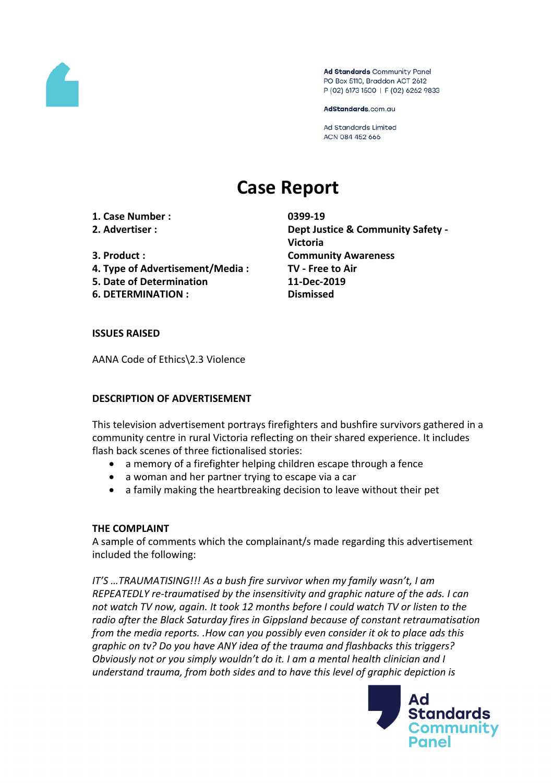

Ad Standards Community Panel PO Box 5110, Braddon ACT 2612 P (02) 6173 1500 | F (02) 6262 9833

AdStandards.com.au

**Ad Standards Limited** ACN 084 452 666

# **Case Report**

**1. Case Number : 0399-19**

- 
- 
- **4. Type of Advertisement/Media : TV - Free to Air**
- **5. Date of Determination 11-Dec-2019**
- **6. DETERMINATION : Dismissed**

**2. Advertiser : Dept Justice & Community Safety - Victoria 3. Product : Community Awareness**

#### **ISSUES RAISED**

AANA Code of Ethics\2.3 Violence

#### **DESCRIPTION OF ADVERTISEMENT**

This television advertisement portrays firefighters and bushfire survivors gathered in a community centre in rural Victoria reflecting on their shared experience. It includes flash back scenes of three fictionalised stories:

- a memory of a firefighter helping children escape through a fence
- a woman and her partner trying to escape via a car
- a family making the heartbreaking decision to leave without their pet

# **THE COMPLAINT**

A sample of comments which the complainant/s made regarding this advertisement included the following:

*IT'S …TRAUMATISING!!! As a bush fire survivor when my family wasn't, I am REPEATEDLY re-traumatised by the insensitivity and graphic nature of the ads. I can not watch TV now, again. It took 12 months before I could watch TV or listen to the radio after the Black Saturday fires in Gippsland because of constant retraumatisation from the media reports. .How can you possibly even consider it ok to place ads this graphic on tv? Do you have ANY idea of the trauma and flashbacks this triggers? Obviously not or you simply wouldn't do it. I am a mental health clinician and I understand trauma, from both sides and to have this level of graphic depiction is*

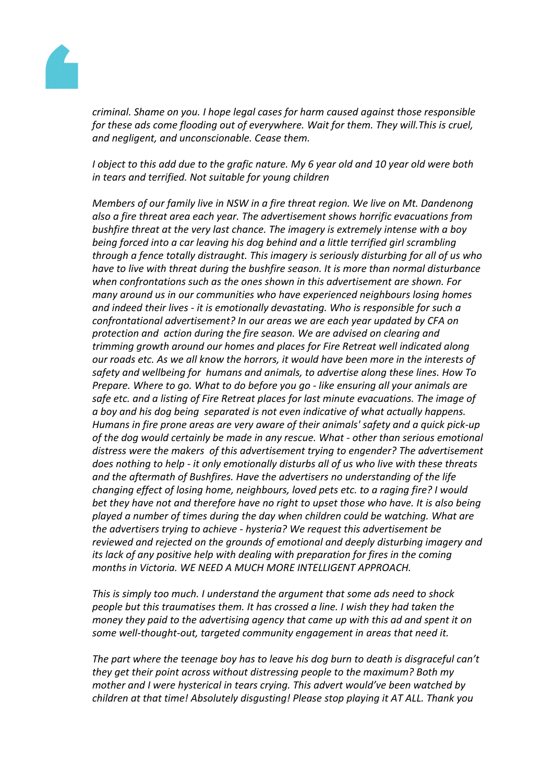

*criminal. Shame on you. I hope legal cases for harm caused against those responsible for these ads come flooding out of everywhere. Wait for them. They will.This is cruel, and negligent, and unconscionable. Cease them.*

I object to this add due to the grafic nature. My 6 year old and 10 year old were both *in tears and terrified. Not suitable for young children*

*Members of our family live in NSW in a fire threat region. We live on Mt. Dandenong also a fire threat area each year. The advertisement shows horrific evacuations from bushfire threat at the very last chance. The imagery is extremely intense with a boy being forced into a car leaving his dog behind and a little terrified girl scrambling through a fence totally distraught. This imagery is seriously disturbing for all of us who have to live with threat during the bushfire season. It is more than normal disturbance when confrontations such as the ones shown in this advertisement are shown. For many around us in our communities who have experienced neighbours losing homes and indeed their lives - it is emotionally devastating. Who is responsible for such a confrontational advertisement? In our areas we are each year updated by CFA on protection and action during the fire season. We are advised on clearing and trimming growth around our homes and places for Fire Retreat well indicated along our roads etc. As we all know the horrors, it would have been more in the interests of safety and wellbeing for humans and animals, to advertise along these lines. How To Prepare. Where to go. What to do before you go - like ensuring all your animals are safe etc. and a listing of Fire Retreat places for last minute evacuations. The image of a boy and his dog being separated is not even indicative of what actually happens. Humans in fire prone areas are very aware of their animals' safety and a quick pick-up of the dog would certainly be made in any rescue. What - other than serious emotional distress were the makers of this advertisement trying to engender? The advertisement does nothing to help - it only emotionally disturbs all of us who live with these threats and the aftermath of Bushfires. Have the advertisers no understanding of the life changing effect of losing home, neighbours, loved pets etc. to a raging fire? I would bet they have not and therefore have no right to upset those who have. It is also being played a number of times during the day when children could be watching. What are the advertisers trying to achieve - hysteria? We request this advertisement be reviewed and rejected on the grounds of emotional and deeply disturbing imagery and its lack of any positive help with dealing with preparation for fires in the coming months in Victoria. WE NEED A MUCH MORE INTELLIGENT APPROACH.*

*This is simply too much. I understand the argument that some ads need to shock people but this traumatises them. It has crossed a line. I wish they had taken the money they paid to the advertising agency that came up with this ad and spent it on some well-thought-out, targeted community engagement in areas that need it.*

*The part where the teenage boy has to leave his dog burn to death is disgraceful can't they get their point across without distressing people to the maximum? Both my mother and I were hysterical in tears crying. This advert would've been watched by children at that time! Absolutely disgusting! Please stop playing it AT ALL. Thank you*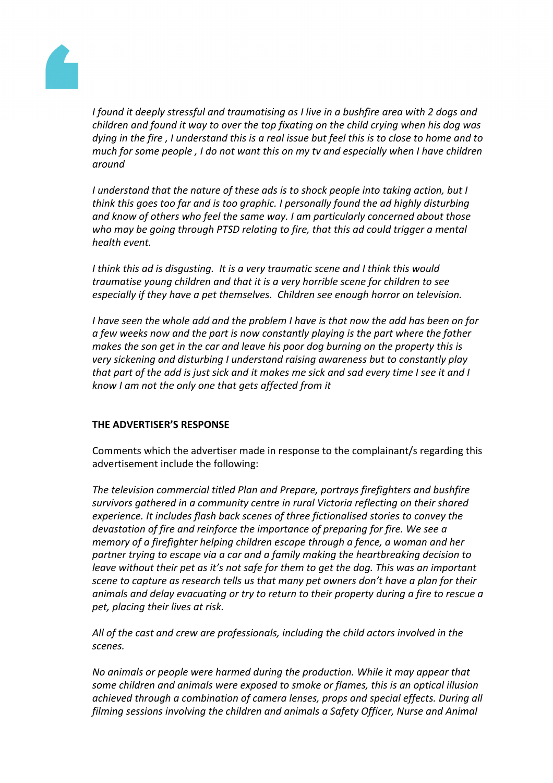

*I found it deeply stressful and traumatising as I live in a bushfire area with 2 dogs and children and found it way to over the top fixating on the child crying when his dog was* dying in the fire, I understand this is a real issue but feel this is to close to home and to *much for some people , I do not want this on my tv and especially when I have children around*

*I understand that the nature of these ads is to shock people into taking action, but I think this goes too far and is too graphic. I personally found the ad highly disturbing and know of others who feel the same way. I am particularly concerned about those who may be going through PTSD relating to fire, that this ad could trigger a mental health event.*

*I think this ad is disgusting. It is a very traumatic scene and I think this would traumatise young children and that it is a very horrible scene for children to see especially if they have a pet themselves. Children see enough horror on television.*

*I have seen the whole add and the problem I have is that now the add has been on for a few weeks now and the part is now constantly playing is the part where the father makes the son get in the car and leave his poor dog burning on the property this is very sickening and disturbing I understand raising awareness but to constantly play* that part of the add is just sick and it makes me sick and sad every time I see it and I *know I am not the only one that gets affected from it*

# **THE ADVERTISER'S RESPONSE**

Comments which the advertiser made in response to the complainant/s regarding this advertisement include the following:

*The television commercial titled Plan and Prepare, portrays firefighters and bushfire survivors gathered in a community centre in rural Victoria reflecting on their shared experience. It includes flash back scenes of three fictionalised stories to convey the devastation of fire and reinforce the importance of preparing for fire. We see a memory of a firefighter helping children escape through a fence, a woman and her partner trying to escape via a car and a family making the heartbreaking decision to leave without their pet as it's not safe for them to get the dog. This was an important scene to capture as research tells us that many pet owners don't have a plan for their animals and delay evacuating or try to return to their property during a fire to rescue a pet, placing their lives at risk.*

*All of the cast and crew are professionals, including the child actors involved in the scenes.* 

*No animals or people were harmed during the production. While it may appear that some children and animals were exposed to smoke or flames, this is an optical illusion achieved through a combination of camera lenses, props and special effects. During all filming sessions involving the children and animals a Safety Officer, Nurse and Animal*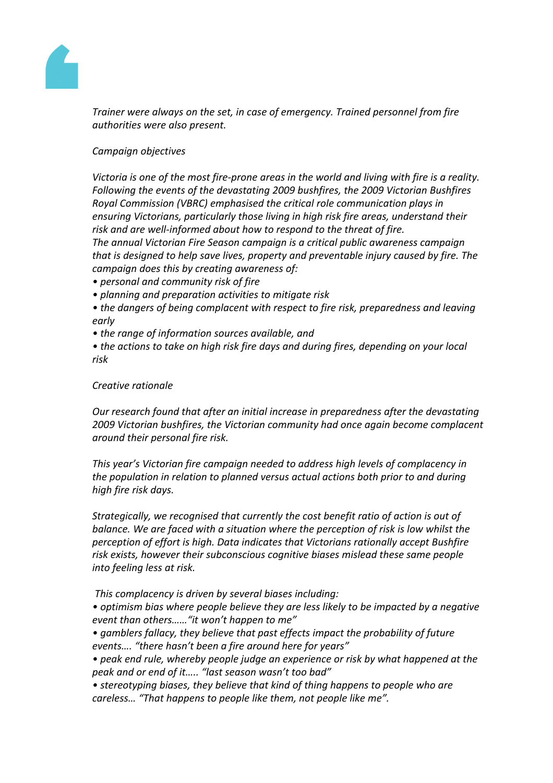

*Trainer were always on the set, in case of emergency. Trained personnel from fire authorities were also present.*

## *Campaign objectives*

*Victoria is one of the most fire-prone areas in the world and living with fire is a reality. Following the events of the devastating 2009 bushfires, the 2009 Victorian Bushfires Royal Commission (VBRC) emphasised the critical role communication plays in ensuring Victorians, particularly those living in high risk fire areas, understand their risk and are well-informed about how to respond to the threat of fire.*

*The annual Victorian Fire Season campaign is a critical public awareness campaign that is designed to help save lives, property and preventable injury caused by fire. The campaign does this by creating awareness of:*

- *• personal and community risk of fire*
- *• planning and preparation activities to mitigate risk*
- *• the dangers of being complacent with respect to fire risk, preparedness and leaving early*
- *• the range of information sources available, and*

*• the actions to take on high risk fire days and during fires, depending on your local risk*

## *Creative rationale*

*Our research found that after an initial increase in preparedness after the devastating 2009 Victorian bushfires, the Victorian community had once again become complacent around their personal fire risk.* 

*This year's Victorian fire campaign needed to address high levels of complacency in the population in relation to planned versus actual actions both prior to and during high fire risk days.* 

*Strategically, we recognised that currently the cost benefit ratio of action is out of balance. We are faced with a situation where the perception of risk is low whilst the perception of effort is high. Data indicates that Victorians rationally accept Bushfire risk exists, however their subconscious cognitive biases mislead these same people into feeling less at risk.*

*This complacency is driven by several biases including:*

*• optimism bias where people believe they are less likely to be impacted by a negative event than others……"it won't happen to me"*

*• gamblers fallacy, they believe that past effects impact the probability of future events…. "there hasn't been a fire around here for years"*

- *• peak end rule, whereby people judge an experience or risk by what happened at the peak and or end of it….. "last season wasn't too bad"*
- *• stereotyping biases, they believe that kind of thing happens to people who are careless… "That happens to people like them, not people like me".*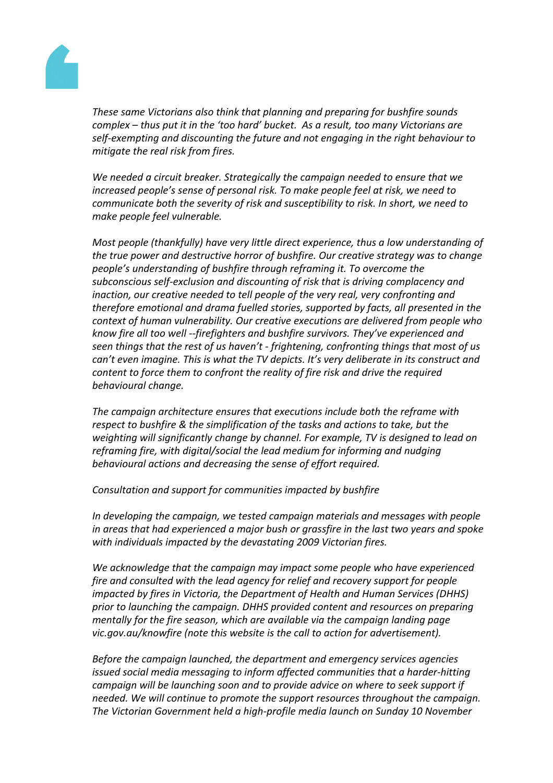

*These same Victorians also think that planning and preparing for bushfire sounds complex – thus put it in the 'too hard' bucket. As a result, too many Victorians are self-exempting and discounting the future and not engaging in the right behaviour to mitigate the real risk from fires.*

*We needed a circuit breaker. Strategically the campaign needed to ensure that we increased people's sense of personal risk. To make people feel at risk, we need to communicate both the severity of risk and susceptibility to risk. In short, we need to make people feel vulnerable.*

*Most people (thankfully) have very little direct experience, thus a low understanding of the true power and destructive horror of bushfire. Our creative strategy was to change people's understanding of bushfire through reframing it. To overcome the subconscious self-exclusion and discounting of risk that is driving complacency and inaction, our creative needed to tell people of the very real, very confronting and therefore emotional and drama fuelled stories, supported by facts, all presented in the context of human vulnerability. Our creative executions are delivered from people who know fire all too well --firefighters and bushfire survivors. They've experienced and seen things that the rest of us haven't - frightening, confronting things that most of us can't even imagine. This is what the TV depicts. It's very deliberate in its construct and content to force them to confront the reality of fire risk and drive the required behavioural change.*

*The campaign architecture ensures that executions include both the reframe with respect to bushfire & the simplification of the tasks and actions to take, but the weighting will significantly change by channel. For example, TV is designed to lead on reframing fire, with digital/social the lead medium for informing and nudging behavioural actions and decreasing the sense of effort required.*

*Consultation and support for communities impacted by bushfire*

*In developing the campaign, we tested campaign materials and messages with people in areas that had experienced a major bush or grassfire in the last two years and spoke with individuals impacted by the devastating 2009 Victorian fires.* 

*We acknowledge that the campaign may impact some people who have experienced fire and consulted with the lead agency for relief and recovery support for people impacted by fires in Victoria, the Department of Health and Human Services (DHHS) prior to launching the campaign. DHHS provided content and resources on preparing mentally for the fire season, which are available via the campaign landing page vic.gov.au/knowfire (note this website is the call to action for advertisement).*

*Before the campaign launched, the department and emergency services agencies issued social media messaging to inform affected communities that a harder-hitting campaign will be launching soon and to provide advice on where to seek support if needed. We will continue to promote the support resources throughout the campaign. The Victorian Government held a high-profile media launch on Sunday 10 November*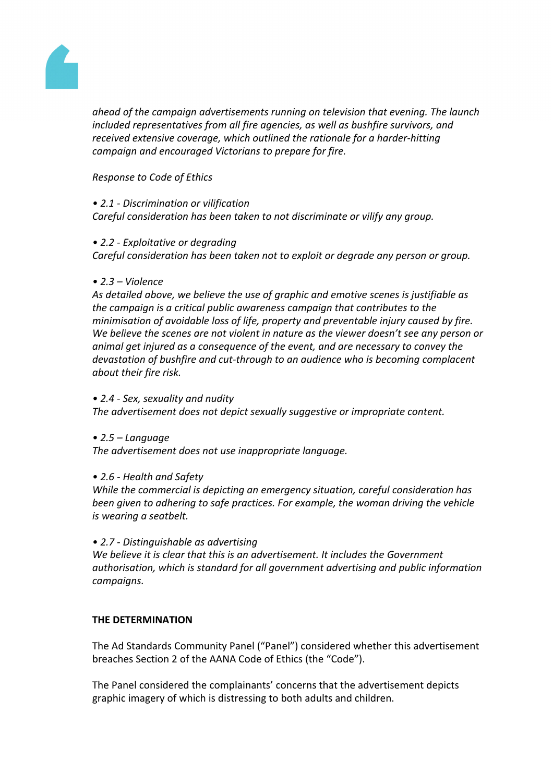

*ahead of the campaign advertisements running on television that evening. The launch included representatives from all fire agencies, as well as bushfire survivors, and received extensive coverage, which outlined the rationale for a harder-hitting campaign and encouraged Victorians to prepare for fire.*

## *Response to Code of Ethics*

#### *• 2.1 - Discrimination or vilification Careful consideration has been taken to not discriminate or vilify any group.*

#### *• 2.2 - Exploitative or degrading*

*Careful consideration has been taken not to exploit or degrade any person or group.*

#### *• 2.3 – Violence*

*As detailed above, we believe the use of graphic and emotive scenes is justifiable as the campaign is a critical public awareness campaign that contributes to the minimisation of avoidable loss of life, property and preventable injury caused by fire. We believe the scenes are not violent in nature as the viewer doesn't see any person or animal get injured as a consequence of the event, and are necessary to convey the devastation of bushfire and cut-through to an audience who is becoming complacent about their fire risk.*

#### *• 2.4 - Sex, sexuality and nudity*

*The advertisement does not depict sexually suggestive or impropriate content.*

#### *• 2.5 – Language*

*The advertisement does not use inappropriate language.*

# *• 2.6 - Health and Safety*

*While the commercial is depicting an emergency situation, careful consideration has been given to adhering to safe practices. For example, the woman driving the vehicle is wearing a seatbelt.*

#### *• 2.7 - Distinguishable as advertising*

*We believe it is clear that this is an advertisement. It includes the Government authorisation, which is standard for all government advertising and public information campaigns.*

#### **THE DETERMINATION**

The Ad Standards Community Panel ("Panel") considered whether this advertisement breaches Section 2 of the AANA Code of Ethics (the "Code").

The Panel considered the complainants' concerns that the advertisement depicts graphic imagery of which is distressing to both adults and children.